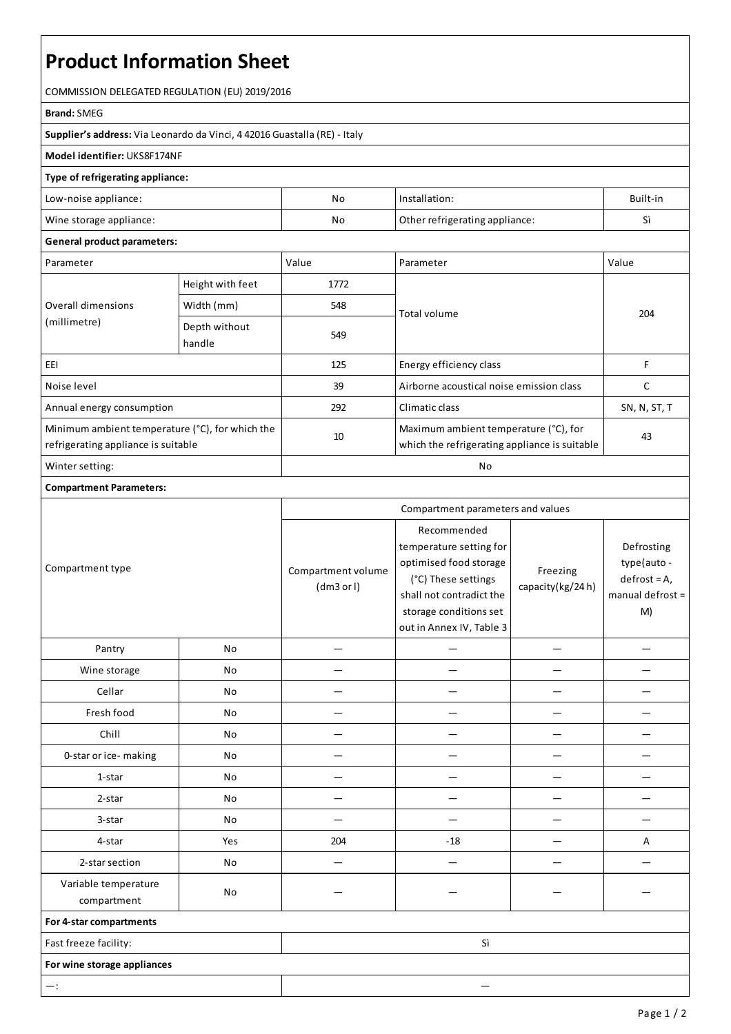# **Product Information Sheet**

COMMISSION DELEGATED REGULATION (EU) 2019/2016

#### **Brand:**SMEG

**Supplier's address:** ViaLeonardo da Vinci, 4 42016 Guastalla(RE) - Italy

### **Model identifier:** UKS8F174NF

#### **Type of refrigerating appliance:**

| Low-noise appliance:    | No | Installation:                  | Built-in |
|-------------------------|----|--------------------------------|----------|
| Wine storage appliance: | No | Other refrigerating appliance: |          |

#### **General product parameters:**

| Parameter                                                                              |                         | Value | Parameter                                                                              | Value        |
|----------------------------------------------------------------------------------------|-------------------------|-------|----------------------------------------------------------------------------------------|--------------|
| Overall dimensions<br>(millimetre)                                                     | Height with feet        | 1772  |                                                                                        | 204          |
|                                                                                        | Width (mm)              | 548   | Total volume                                                                           |              |
|                                                                                        | Depth without<br>handle | 549   |                                                                                        |              |
| EEI                                                                                    |                         | 125   | Energy efficiency class                                                                |              |
| Noise level                                                                            |                         | 39    | Airborne acoustical noise emission class                                               |              |
| Annual energy consumption                                                              |                         | 292   | Climatic class                                                                         | SN, N, ST, T |
| Minimum ambient temperature (°C), for which the<br>refrigerating appliance is suitable |                         | 10    | Maximum ambient temperature (°C), for<br>which the refrigerating appliance is suitable | 43           |
| Winter setting:                                                                        |                         | No    |                                                                                        |              |

## **Compartment Parameters:**

| Compartment type                    |           | Compartment parameters and values |                                                                                                                                                                           |                              |                                                                          |
|-------------------------------------|-----------|-----------------------------------|---------------------------------------------------------------------------------------------------------------------------------------------------------------------------|------------------------------|--------------------------------------------------------------------------|
|                                     |           | Compartment volume<br>(dm3 or l)  | Recommended<br>temperature setting for<br>optimised food storage<br>(°C) These settings<br>shall not contradict the<br>storage conditions set<br>out in Annex IV, Table 3 | Freezing<br>capacity(kg/24h) | Defrosting<br>type(auto -<br>$defrost = A,$<br>$m$ anual defrost =<br>M) |
| Pantry                              | No        |                                   |                                                                                                                                                                           |                              |                                                                          |
| Wine storage                        | No        |                                   |                                                                                                                                                                           |                              |                                                                          |
| Cellar                              | No        |                                   |                                                                                                                                                                           |                              |                                                                          |
| Fresh food                          | No        |                                   |                                                                                                                                                                           |                              |                                                                          |
| Chill                               | <b>No</b> |                                   |                                                                                                                                                                           |                              |                                                                          |
| 0-star or ice-making                | No        |                                   |                                                                                                                                                                           |                              |                                                                          |
| 1-star                              | No        |                                   |                                                                                                                                                                           |                              |                                                                          |
| 2-star                              | No        |                                   |                                                                                                                                                                           |                              |                                                                          |
| 3-star                              | No        |                                   |                                                                                                                                                                           |                              |                                                                          |
| 4-star                              | Yes       | 204                               | $-18$                                                                                                                                                                     |                              | Α                                                                        |
| 2-star section                      | No        |                                   |                                                                                                                                                                           |                              |                                                                          |
| Variable temperature<br>compartment | No        |                                   |                                                                                                                                                                           |                              |                                                                          |
| For 4-star compartments             |           |                                   |                                                                                                                                                                           |                              |                                                                          |
| Fast freeze facility:               |           | Sì                                |                                                                                                                                                                           |                              |                                                                          |
| For wine storage appliances         |           |                                   |                                                                                                                                                                           |                              |                                                                          |
| $-$ :                               |           |                                   |                                                                                                                                                                           |                              |                                                                          |